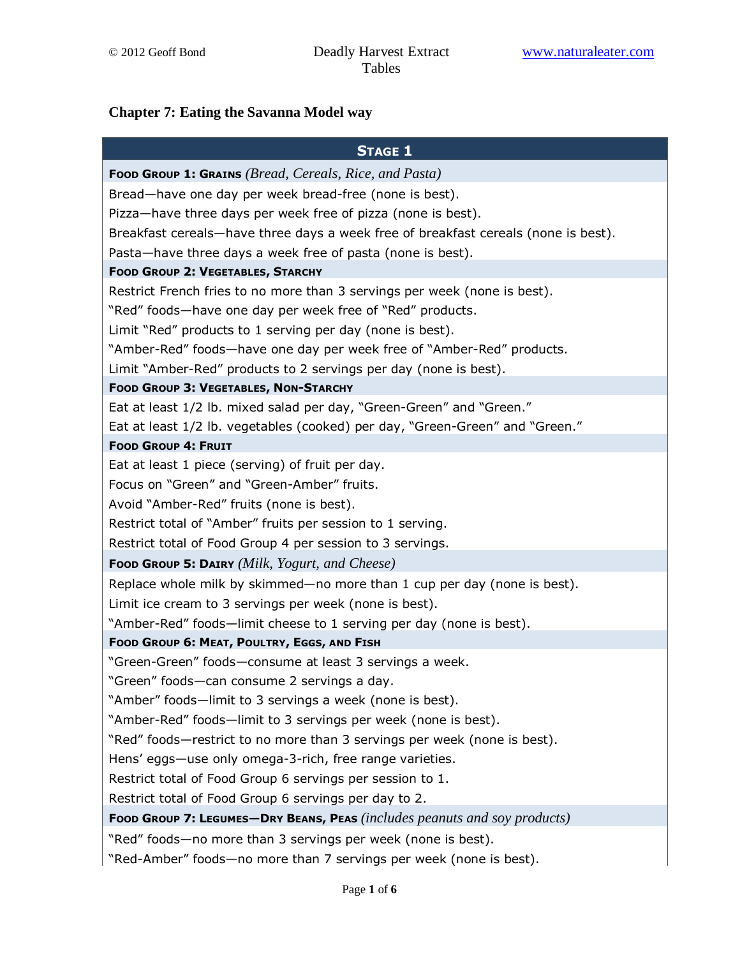## **Chapter 7: Eating the Savanna Model way**

| <b>STAGE 1</b>                                                                     |
|------------------------------------------------------------------------------------|
| <b>Food Group 1: Grains</b> ( <i>Bread, Cereals, Rice, and Pasta</i> )             |
| Bread-have one day per week bread-free (none is best).                             |
| Pizza-have three days per week free of pizza (none is best).                       |
| Breakfast cereals—have three days a week free of breakfast cereals (none is best). |
| Pasta-have three days a week free of pasta (none is best).                         |
| <b>FOOD GROUP 2: VEGETABLES, STARCHY</b>                                           |
| Restrict French fries to no more than 3 servings per week (none is best).          |
| "Red" foods—have one day per week free of "Red" products.                          |
| Limit "Red" products to 1 serving per day (none is best).                          |
| "Amber-Red" foods—have one day per week free of "Amber-Red" products.              |
| Limit "Amber-Red" products to 2 servings per day (none is best).                   |
| <b>FOOD GROUP 3: VEGETABLES, NON-STARCHY</b>                                       |
| Eat at least 1/2 lb. mixed salad per day, "Green-Green" and "Green."               |
| Eat at least 1/2 lb. vegetables (cooked) per day, "Green-Green" and "Green."       |
| <b>FOOD GROUP 4: FRUIT</b>                                                         |
| Eat at least 1 piece (serving) of fruit per day.                                   |
| Focus on "Green" and "Green-Amber" fruits.                                         |
| Avoid "Amber-Red" fruits (none is best).                                           |
| Restrict total of "Amber" fruits per session to 1 serving.                         |
| Restrict total of Food Group 4 per session to 3 servings.                          |
| <b>Food Group 5: DAIRY</b> (Milk, Yogurt, and Cheese)                              |
| Replace whole milk by skimmed—no more than 1 cup per day (none is best).           |
| Limit ice cream to 3 servings per week (none is best).                             |
| "Amber-Red" foods—limit cheese to 1 serving per day (none is best).                |
| FOOD GROUP 6: MEAT, POULTRY, EGGS, AND FISH                                        |
| "Green-Green" foods-consume at least 3 servings a week.                            |
| 'Green" foods—can consume 2 servings a day.                                        |
| "Amber" foods—limit to 3 servings a week (none is best).                           |
| "Amber-Red" foods-limit to 3 servings per week (none is best).                     |
| "Red" foods—restrict to no more than 3 servings per week (none is best).           |
| Hens' eggs—use only omega-3-rich, free range varieties.                            |
| Restrict total of Food Group 6 servings per session to 1.                          |
| Restrict total of Food Group 6 servings per day to 2.                              |
| Food Group 7: LEGUMES-DRY BEANS, PEAS (includes peanuts and soy products)          |
| "Red" foods-no more than 3 servings per week (none is best).                       |
| "Red-Amber" foods-no more than 7 servings per week (none is best).                 |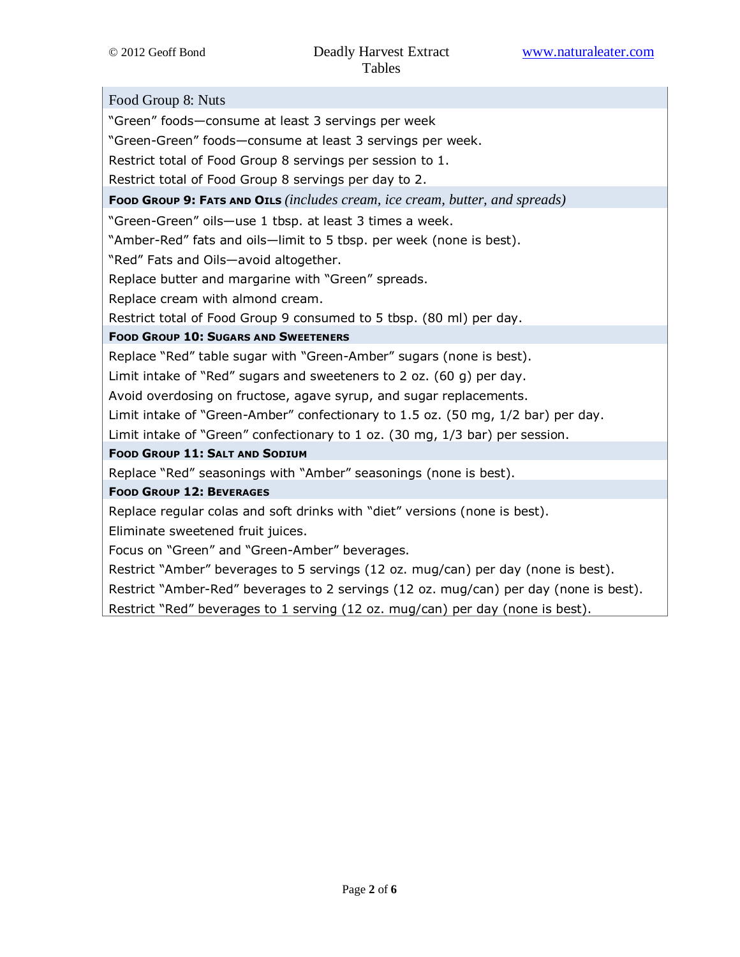Food Group 8: Nuts "Green" foods—consume at least 3 servings per week "Green-Green" foods—consume at least 3 servings per week. Restrict total of Food Group 8 servings per session to 1. Restrict total of Food Group 8 servings per day to 2. FOOD GROUP 9: FATS AND OILS *(includes cream, ice cream, butter, and spreads)* "Green-Green" oils—use 1 tbsp. at least 3 times a week. "Amber-Red" fats and oils—limit to 5 tbsp. per week (none is best). "Red" Fats and Oils—avoid altogether. Replace butter and margarine with "Green" spreads. Replace cream with almond cream. Restrict total of Food Group 9 consumed to 5 tbsp. (80 ml) per day. FOOD GROUP 10: SUGARS AND SWEETENERS Replace "Red" table sugar with "Green-Amber" sugars (none is best). Limit intake of "Red" sugars and sweeteners to 2 oz. (60 g) per day. Avoid overdosing on fructose, agave syrup, and sugar replacements. Limit intake of "Green-Amber" confectionary to 1.5 oz. (50 mg, 1/2 bar) per day. Limit intake of "Green" confectionary to 1 oz. (30 mg, 1/3 bar) per session. FOOD GROUP 11: SALT AND SODIUM Replace "Red" seasonings with "Amber" seasonings (none is best). FOOD GROUP 12: BEVERAGES Replace regular colas and soft drinks with "diet" versions (none is best). Eliminate sweetened fruit juices. Focus on "Green" and "Green-Amber" beverages. Restrict "Amber" beverages to 5 servings (12 oz. mug/can) per day (none is best). Restrict "Amber-Red" beverages to 2 servings (12 oz. mug/can) per day (none is best). Restrict "Red" beverages to 1 serving (12 oz. mug/can) per day (none is best).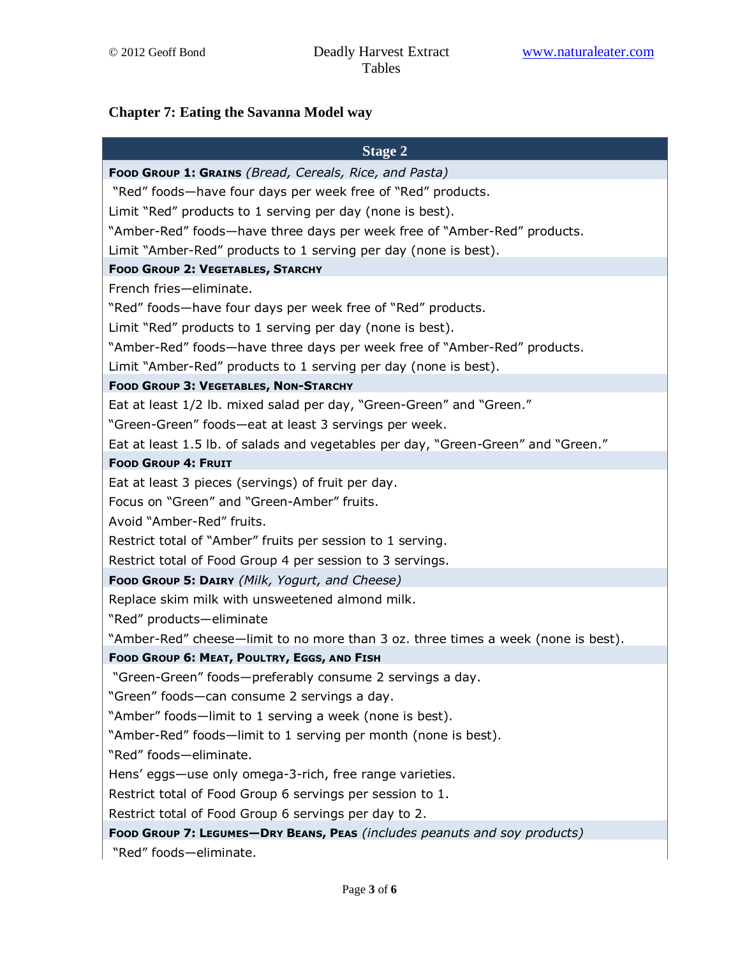## **Chapter 7: Eating the Savanna Model way**

| <b>Stage 2</b>                                                                    |
|-----------------------------------------------------------------------------------|
| Food Group 1: Grains (Bread, Cereals, Rice, and Pasta)                            |
| "Red" foods—have four days per week free of "Red" products.                       |
| Limit "Red" products to 1 serving per day (none is best).                         |
| "Amber-Red" foods-have three days per week free of "Amber-Red" products.          |
| Limit "Amber-Red" products to 1 serving per day (none is best).                   |
| <b>FOOD GROUP 2: VEGETABLES, STARCHY</b>                                          |
| French fries-eliminate.                                                           |
| "Red" foods—have four days per week free of "Red" products.                       |
| Limit "Red" products to 1 serving per day (none is best).                         |
| "Amber-Red" foods—have three days per week free of "Amber-Red" products.          |
| Limit "Amber-Red" products to 1 serving per day (none is best).                   |
| <b>FOOD GROUP 3: VEGETABLES, NON-STARCHY</b>                                      |
| Eat at least 1/2 lb. mixed salad per day, "Green-Green" and "Green."              |
| "Green-Green" foods-eat at least 3 servings per week.                             |
| Eat at least 1.5 lb. of salads and vegetables per day, "Green-Green" and "Green." |
| <b>FOOD GROUP 4: FRUIT</b>                                                        |
| Eat at least 3 pieces (servings) of fruit per day.                                |
| Focus on "Green" and "Green-Amber" fruits.                                        |
| Avoid "Amber-Red" fruits.                                                         |
| Restrict total of "Amber" fruits per session to 1 serving.                        |
| Restrict total of Food Group 4 per session to 3 servings.                         |
| Food Group 5: DAIRY (Milk, Yogurt, and Cheese)                                    |
| Replace skim milk with unsweetened almond milk.                                   |
| "Red" products-eliminate                                                          |
| "Amber-Red" cheese-limit to no more than 3 oz. three times a week (none is best). |
| FOOD GROUP 6: MEAT, POULTRY, EGGS, AND FISH                                       |
| "Green-Green" foods-preferably consume 2 servings a day.                          |
| "Green" foods-can consume 2 servings a day.                                       |
| "Amber" foods-limit to 1 serving a week (none is best).                           |
| "Amber-Red" foods-limit to 1 serving per month (none is best).                    |
| "Red" foods-eliminate.                                                            |
| Hens' eggs-use only omega-3-rich, free range varieties.                           |
| Restrict total of Food Group 6 servings per session to 1.                         |
| Restrict total of Food Group 6 servings per day to 2.                             |
| Food Group 7: LEGUMES-DRY BEANS, PEAS (includes peanuts and soy products)         |
| "Red" foods-eliminate.                                                            |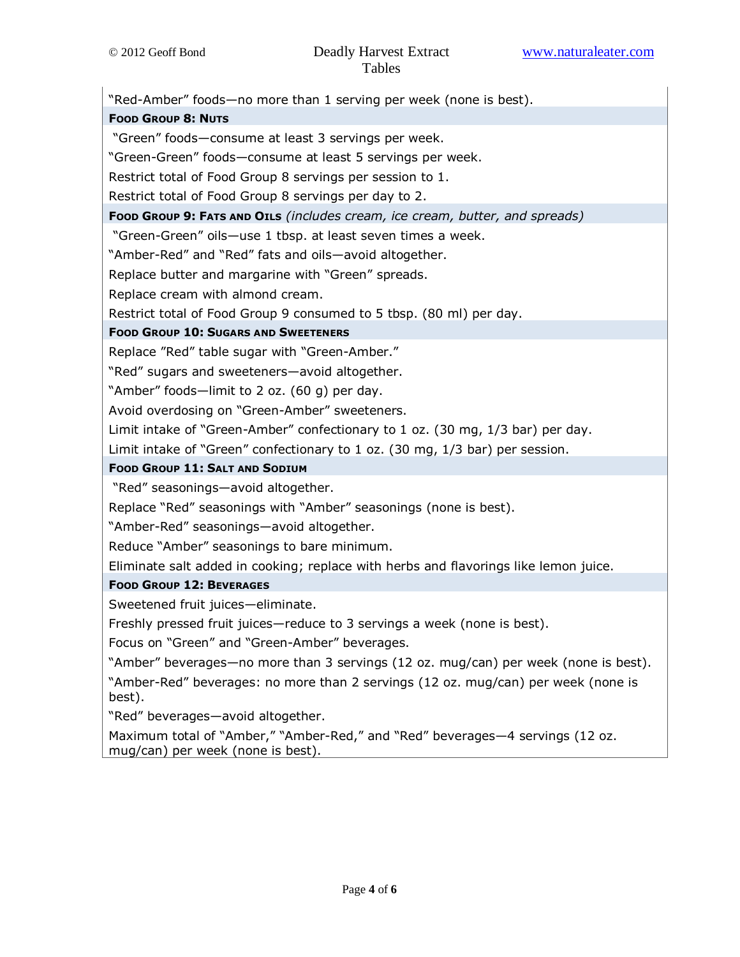"Red-Amber" foods—no more than 1 serving per week (none is best). FOOD GROUP 8: NUTS "Green" foods—consume at least 3 servings per week. "Green-Green" foods—consume at least 5 servings per week. Restrict total of Food Group 8 servings per session to 1. Restrict total of Food Group 8 servings per day to 2. Foop Group 9: FATS AND OILS (includes cream, ice cream, butter, and spreads) "Green-Green" oils—use 1 tbsp. at least seven times a week. "Amber-Red" and "Red" fats and oils—avoid altogether. Replace butter and margarine with "Green" spreads. Replace cream with almond cream. Restrict total of Food Group 9 consumed to 5 tbsp. (80 ml) per day. FOOD GROUP 10: SUGARS AND SWEETENERS Replace "Red" table sugar with "Green-Amber." "Red" sugars and sweeteners—avoid altogether. "Amber" foods—limit to 2 oz. (60 g) per day. Avoid overdosing on "Green-Amber" sweeteners. Limit intake of "Green-Amber" confectionary to 1 oz. (30 mg, 1/3 bar) per day. Limit intake of "Green" confectionary to 1 oz. (30 mg, 1/3 bar) per session. FOOD GROUP 11: SALT AND SODIUM "Red" seasonings—avoid altogether. Replace "Red" seasonings with "Amber" seasonings (none is best). "Amber-Red" seasonings—avoid altogether. Reduce "Amber" seasonings to bare minimum. Eliminate salt added in cooking; replace with herbs and flavorings like lemon juice. FOOD GROUP 12: BEVERAGES Sweetened fruit juices—eliminate. Freshly pressed fruit juices—reduce to 3 servings a week (none is best). Focus on "Green" and "Green-Amber" beverages. "Amber" beverages—no more than 3 servings (12 oz. mug/can) per week (none is best). "Amber-Red" beverages: no more than 2 servings (12 oz. mug/can) per week (none is best). "Red" beverages—avoid altogether. Maximum total of "Amber," "Amber-Red," and "Red" beverages—4 servings (12 oz. mug/can) per week (none is best).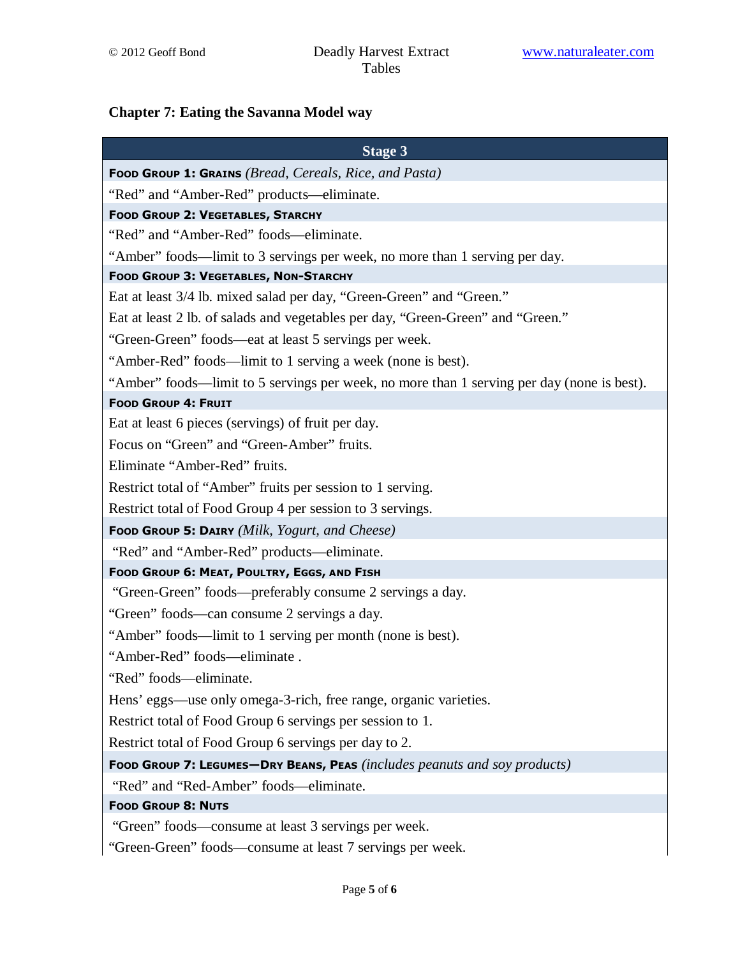## **Chapter 7: Eating the Savanna Model way**

| <b>Stage 3</b>                                                                             |
|--------------------------------------------------------------------------------------------|
| Food Group 1: Grains (Bread, Cereals, Rice, and Pasta)                                     |
| "Red" and "Amber-Red" products—eliminate.                                                  |
| <b>FOOD GROUP 2: VEGETABLES, STARCHY</b>                                                   |
| "Red" and "Amber-Red" foods—eliminate.                                                     |
| "Amber" foods—limit to 3 servings per week, no more than 1 serving per day.                |
| <b>FOOD GROUP 3: VEGETABLES, NON-STARCHY</b>                                               |
| Eat at least 3/4 lb. mixed salad per day, "Green-Green" and "Green."                       |
| Eat at least 2 lb. of salads and vegetables per day, "Green-Green" and "Green."            |
| "Green-Green" foods—eat at least 5 servings per week.                                      |
| "Amber-Red" foods—limit to 1 serving a week (none is best).                                |
| "Amber" foods—limit to 5 servings per week, no more than 1 serving per day (none is best). |
| <b>FOOD GROUP 4: FRUIT</b>                                                                 |
| Eat at least 6 pieces (servings) of fruit per day.                                         |
| Focus on "Green" and "Green-Amber" fruits.                                                 |
| Eliminate "Amber-Red" fruits.                                                              |
| Restrict total of "Amber" fruits per session to 1 serving.                                 |
| Restrict total of Food Group 4 per session to 3 servings.                                  |
| Food Group 5: DAIRY (Milk, Yogurt, and Cheese)                                             |
| "Red" and "Amber-Red" products—eliminate.                                                  |
| FOOD GROUP 6: MEAT, POULTRY, EGGS, AND FISH                                                |
| "Green-Green" foods—preferably consume 2 servings a day.                                   |
| "Green" foods—can consume 2 servings a day.                                                |
| "Amber" foods—limit to 1 serving per month (none is best).                                 |
| "Amber-Red" foods—eliminate.                                                               |
| "Red" foods-eliminate.                                                                     |
| Hens' eggs—use only omega-3-rich, free range, organic varieties.                           |
| Restrict total of Food Group 6 servings per session to 1.                                  |
| Restrict total of Food Group 6 servings per day to 2.                                      |
| FOOD GROUP 7: LEGUMES-DRY BEANS, PEAS (includes peanuts and soy products)                  |
| "Red" and "Red-Amber" foods—eliminate.                                                     |
| <b>FOOD GROUP 8: NUTS</b>                                                                  |
| "Green" foods—consume at least 3 servings per week.                                        |
| "Green-Green" foods—consume at least 7 servings per week.                                  |